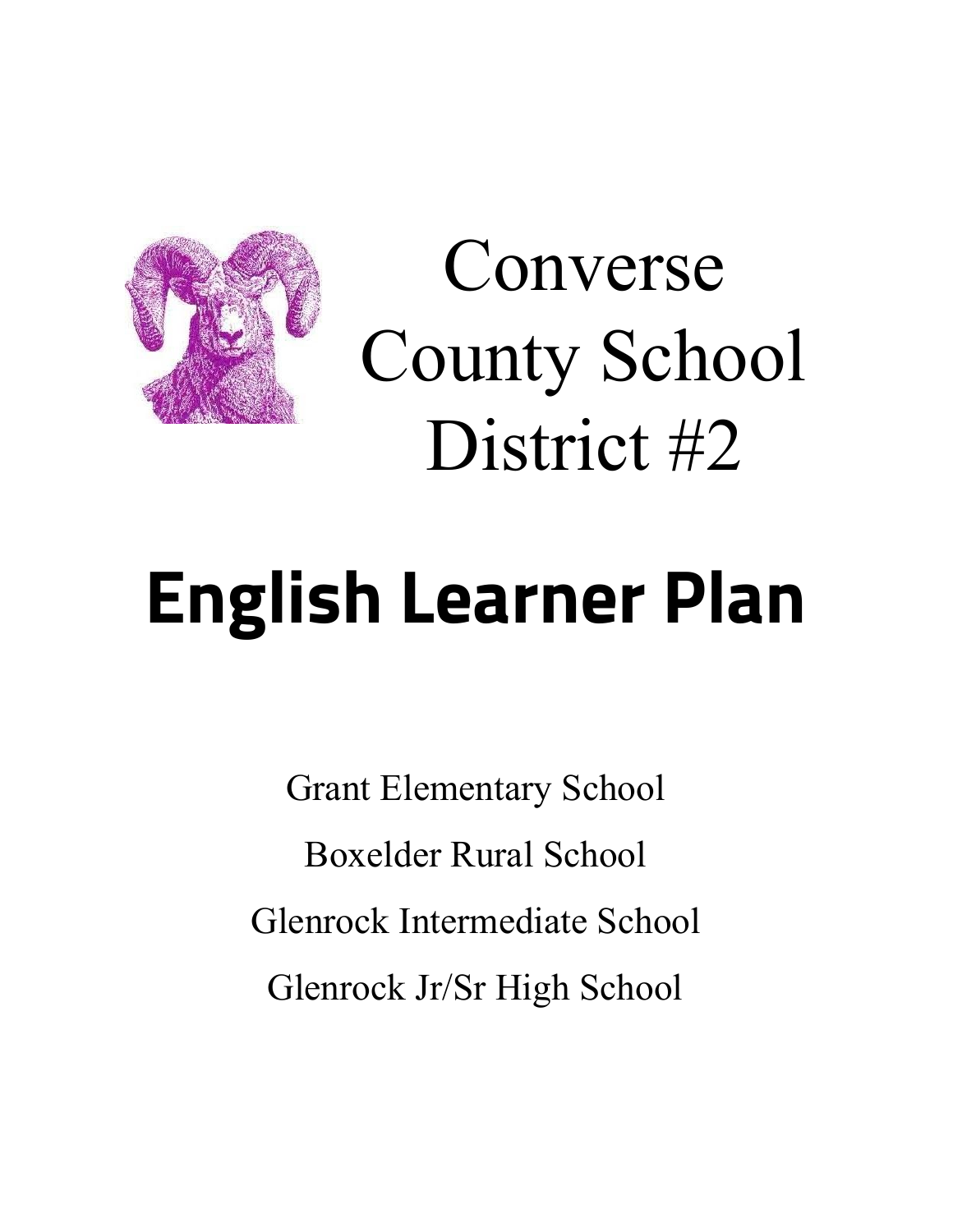

Converse County School District #2

# **English Learner Plan**

Grant Elementary School Boxelder Rural School Glenrock Intermediate School Glenrock Jr/Sr High School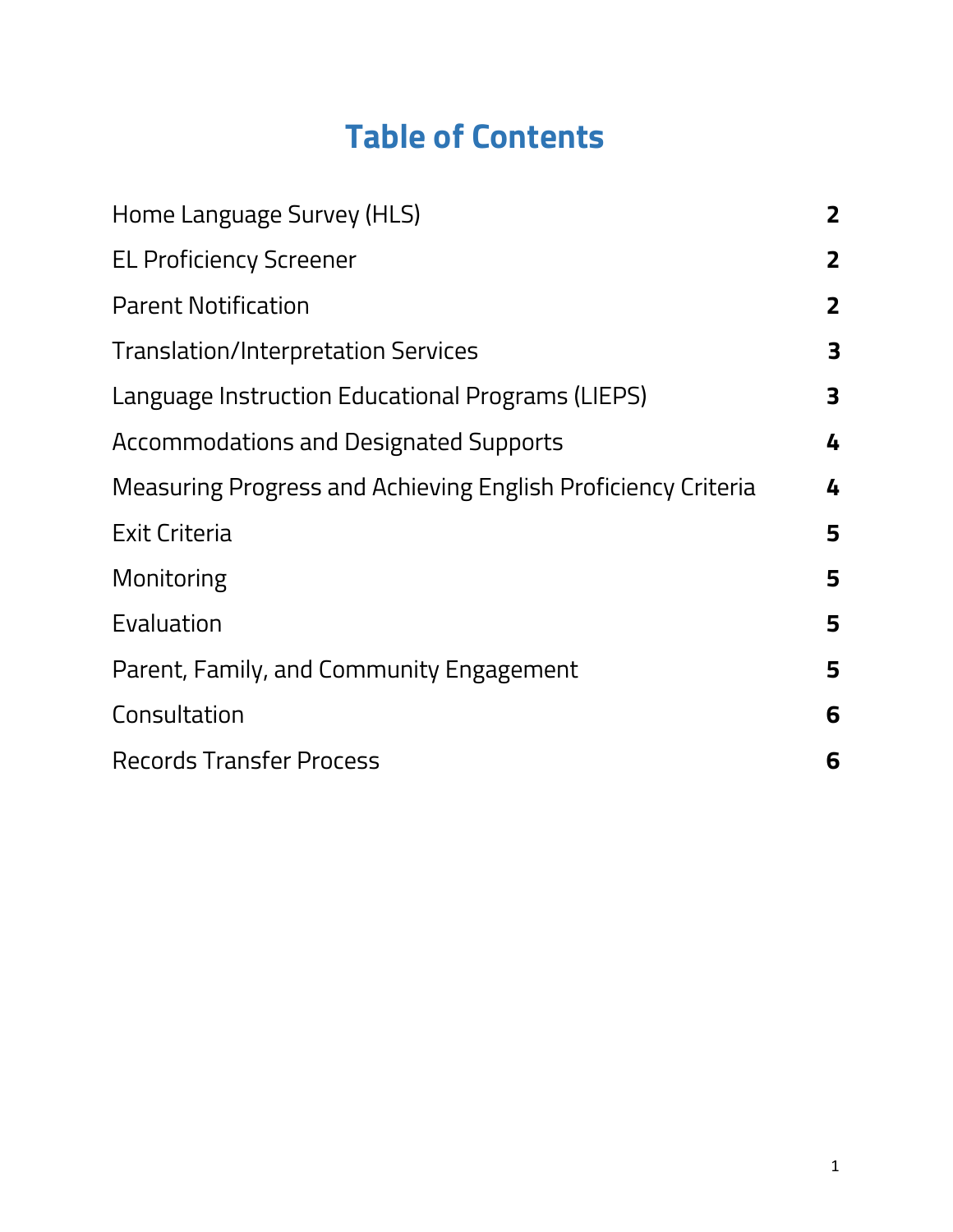# **Table of Contents**

| Home Language Survey (HLS)                                    | $\mathbf{2}$   |
|---------------------------------------------------------------|----------------|
| <b>EL Proficiency Screener</b>                                | $\mathbf{2}$   |
| <b>Parent Notification</b>                                    | $\overline{2}$ |
| <b>Translation/Interpretation Services</b>                    | 3              |
| Language Instruction Educational Programs (LIEPS)             | 3              |
| Accommodations and Designated Supports                        | 4              |
| Measuring Progress and Achieving English Proficiency Criteria | 4              |
| Exit Criteria                                                 | 5              |
| Monitoring                                                    | 5              |
| Evaluation                                                    | 5              |
| Parent, Family, and Community Engagement                      | 5              |
| Consultation                                                  | 6              |
| <b>Records Transfer Process</b>                               | 6              |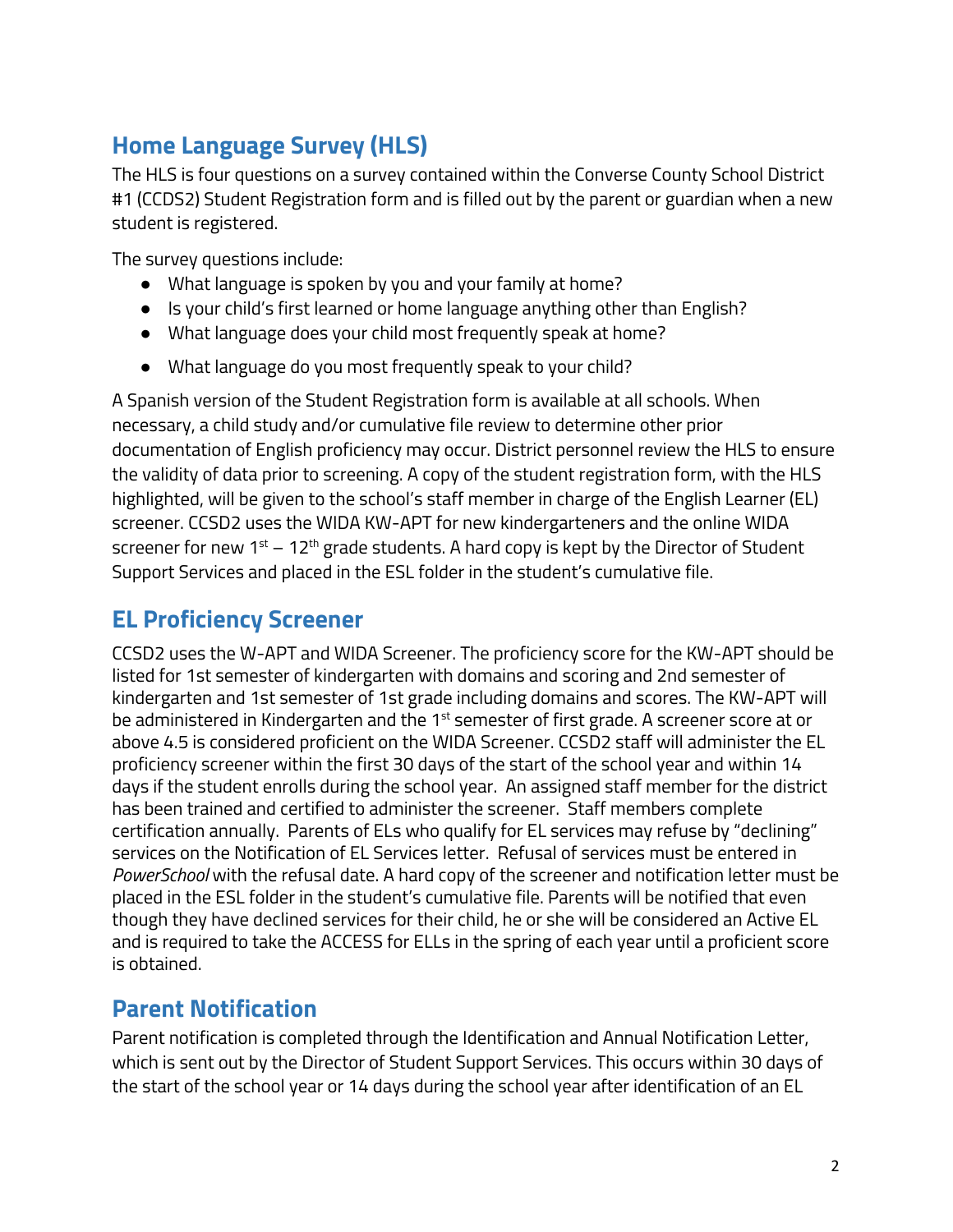# <span id="page-2-0"></span>**Home Language Survey (HLS)**

The HLS is four questions on a survey contained within the Converse County School District #1 (CCDS2) Student Registration form and is filled out by the parent or guardian when a new student is registered.

The survey questions include:

- What language is spoken by you and your family at home?
- Is your child's first learned or home language anything other than English?
- What language does your child most frequently speak at home?
- What language do you most frequently speak to your child?

A Spanish version of the Student Registration form is available at all schools. When necessary, a child study and/or cumulative file review to determine other prior documentation of English proficiency may occur. District personnel review the HLS to ensure the validity of data prior to screening. A copy of the student registration form, with the HLS highlighted, will be given to the school's staff member in charge of the English Learner (EL) screener. CCSD2 uses the WIDA KW-APT for new kindergarteners and the online WIDA screener for new 1<sup>st</sup> – 12<sup>th</sup> grade students. A hard copy is kept by the Director of Student Support Services and placed in the ESL folder in the student's cumulative file.

# <span id="page-2-1"></span>**EL Proficiency Screener**

CCSD2 uses the W-APT and WIDA Screener. The proficiency score for the KW-APT should be listed for 1st semester of kindergarten with domains and scoring and 2nd semester of kindergarten and 1st semester of 1st grade including domains and scores. The KW-APT will be administered in Kindergarten and the 1<sup>st</sup> semester of first grade. A screener score at or above 4.5 is considered proficient on the WIDA Screener. CCSD2 staff will administer the EL proficiency screener within the first 30 days of the start of the school year and within 14 days if the student enrolls during the school year. An assigned staff member for the district has been trained and certified to administer the screener. Staff members complete certification annually. Parents of ELs who qualify for EL services may refuse by "declining" services on the Notification of EL Services letter. Refusal of services must be entered in *PowerSchool* with the refusal date. A hard copy of the screener and notification letter must be placed in the ESL folder in the student's cumulative file. Parents will be notified that even though they have declined services for their child, he or she will be considered an Active EL and is required to take the ACCESS for ELLs in the spring of each year until a proficient score is obtained.

### <span id="page-2-2"></span>**Parent Notification**

Parent notification is completed through the Identification and Annual Notification Letter, which is sent out by the Director of Student Support Services. This occurs within 30 days of the start of the school year or 14 days during the school year after identification of an EL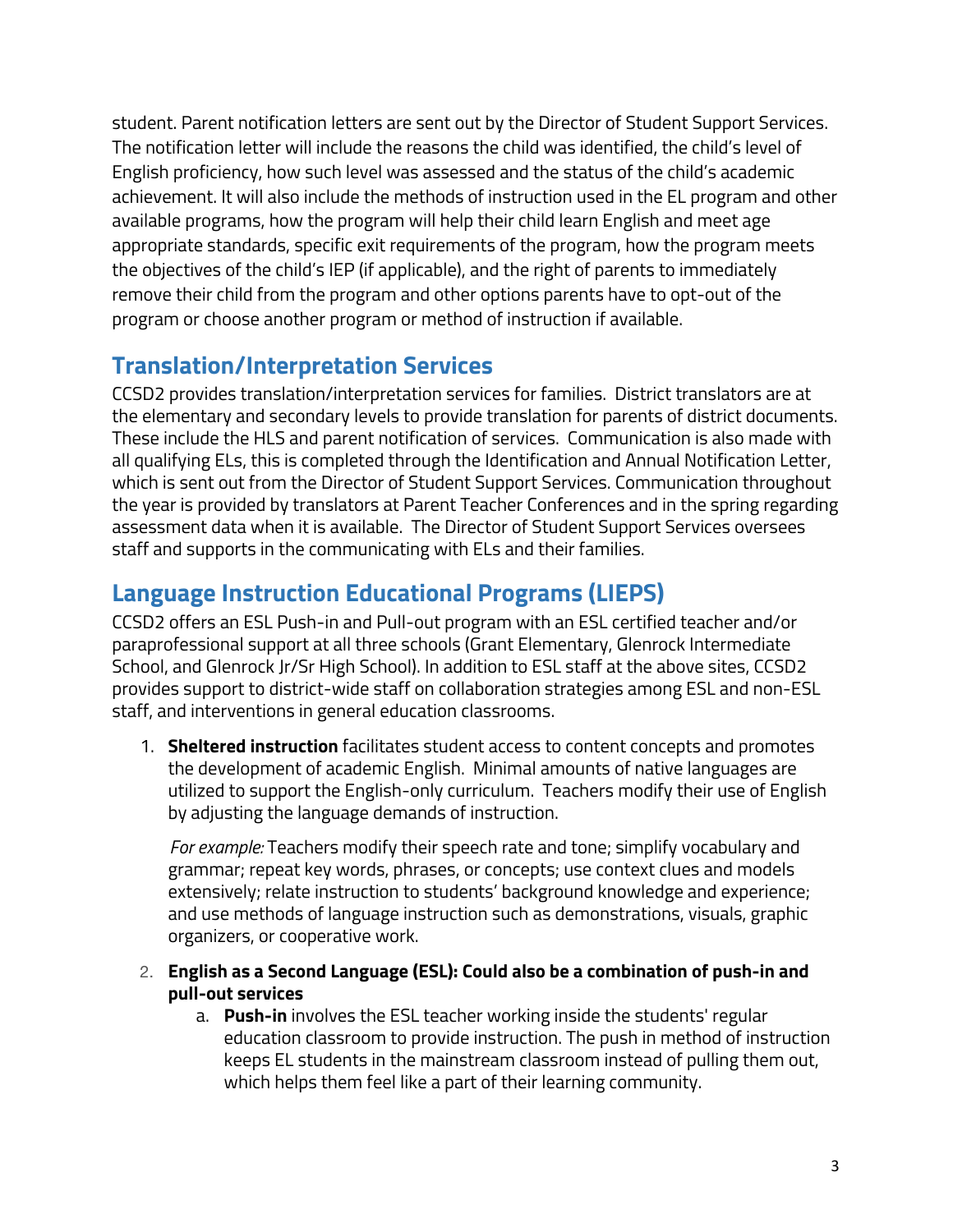student. Parent notification letters are sent out by the Director of Student Support Services. The notification letter will include the reasons the child was identified, the child's level of English proficiency, how such level was assessed and the status of the child's academic achievement. It will also include the methods of instruction used in the EL program and other available programs, how the program will help their child learn English and meet age appropriate standards, specific exit requirements of the program, how the program meets the objectives of the child's IEP (if applicable), and the right of parents to immediately remove their child from the program and other options parents have to opt-out of the program or choose another program or method of instruction if available.

# <span id="page-3-0"></span>**Translation/Interpretation Services**

CCSD2 provides translation/interpretation services for families. District translators are at the elementary and secondary levels to provide translation for parents of district documents. These include the HLS and parent notification of services. Communication is also made with all qualifying ELs, this is completed through the Identification and Annual Notification Letter, which is sent out from the Director of Student Support Services. Communication throughout the year is provided by translators at Parent Teacher Conferences and in the spring regarding assessment data when it is available. The Director of Student Support Services oversees staff and supports in the communicating with ELs and their families.

# <span id="page-3-1"></span>**Language Instruction Educational Programs (LIEPS)**

CCSD2 offers an ESL Push-in and Pull-out program with an ESL certified teacher and/or paraprofessional support at all three schools (Grant Elementary, Glenrock Intermediate School, and Glenrock Jr/Sr High School). In addition to ESL staff at the above sites, CCSD2 provides support to district-wide staff on collaboration strategies among ESL and non-ESL staff, and interventions in general education classrooms.

1. **Sheltered instruction** facilitates student access to content concepts and promotes the development of academic English. Minimal amounts of native languages are utilized to support the English-only curriculum. Teachers modify their use of English by adjusting the language demands of instruction.

*For example:* Teachers modify their speech rate and tone; simplify vocabulary and grammar; repeat key words, phrases, or concepts; use context clues and models extensively; relate instruction to students' background knowledge and experience; and use methods of language instruction such as demonstrations, visuals, graphic organizers, or cooperative work.

- 2. **English as a Second Language (ESL): Could also be a combination of push-in and pull-out services**
	- a. **Push-in** involves the ESL teacher working inside the students' regular education classroom to provide instruction. The push in method of instruction keeps EL students in the mainstream classroom instead of pulling them out, which helps them feel like a part of their learning community.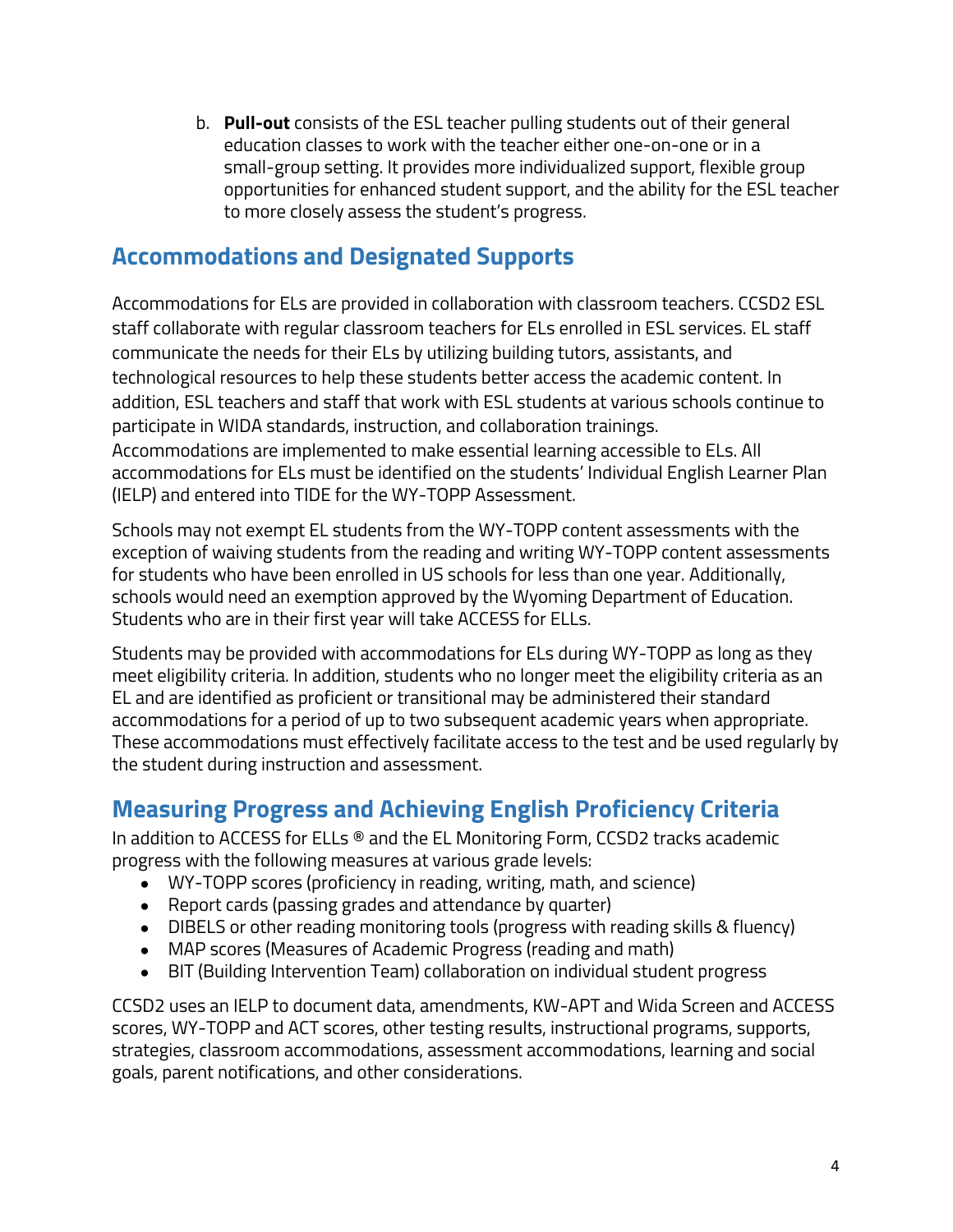b. **Pull-out** consists of the ESL teacher pulling students out of their general education classes to work with the teacher either one-on-one or in a small-group setting. It provides more individualized support, flexible group opportunities for enhanced student support, and the ability for the ESL teacher to more closely assess the student's progress.

# <span id="page-4-0"></span>**Accommodations and Designated Supports**

Accommodations for ELs are provided in collaboration with classroom teachers. CCSD2 ESL staff collaborate with regular classroom teachers for ELs enrolled in ESL services. EL staff communicate the needs for their ELs by utilizing building tutors, assistants, and technological resources to help these students better access the academic content. In addition, ESL teachers and staff that work with ESL students at various schools continue to participate in WIDA standards, instruction, and collaboration trainings. Accommodations are implemented to make essential learning accessible to ELs. All accommodations for ELs must be identified on the students' Individual English Learner Plan (IELP) and entered into TIDE for the WY-TOPP Assessment.

Schools may not exempt EL students from the WY-TOPP content assessments with the exception of waiving students from the reading and writing WY-TOPP content assessments for students who have been enrolled in US schools for less than one year. Additionally, schools would need an exemption approved by the Wyoming Department of Education. Students who are in their first year will take ACCESS for ELLs.

Students may be provided with accommodations for ELs during WY-TOPP as long as they meet eligibility criteria. In addition, students who no longer meet the eligibility criteria as an EL and are identified as proficient or transitional may be administered their standard accommodations for a period of up to two subsequent academic years when appropriate. These accommodations must effectively facilitate access to the test and be used regularly by the student during instruction and assessment.

# <span id="page-4-1"></span>**Measuring Progress and Achieving English Proficiency Criteria**

In addition to ACCESS for ELLs ® and the EL Monitoring Form, CCSD2 tracks academic progress with the following measures at various grade levels:

- WY-TOPP scores (proficiency in reading, writing, math, and science)
- Report cards (passing grades and attendance by quarter)
- DIBELS or other reading monitoring tools (progress with reading skills & fluency)
- MAP scores (Measures of Academic Progress (reading and math)
- BIT (Building Intervention Team) collaboration on individual student progress

CCSD2 uses an IELP to document data, amendments, KW-APT and Wida Screen and ACCESS scores, WY-TOPP and ACT scores, other testing results, instructional programs, supports, strategies, classroom accommodations, assessment accommodations, learning and social goals, parent notifications, and other considerations.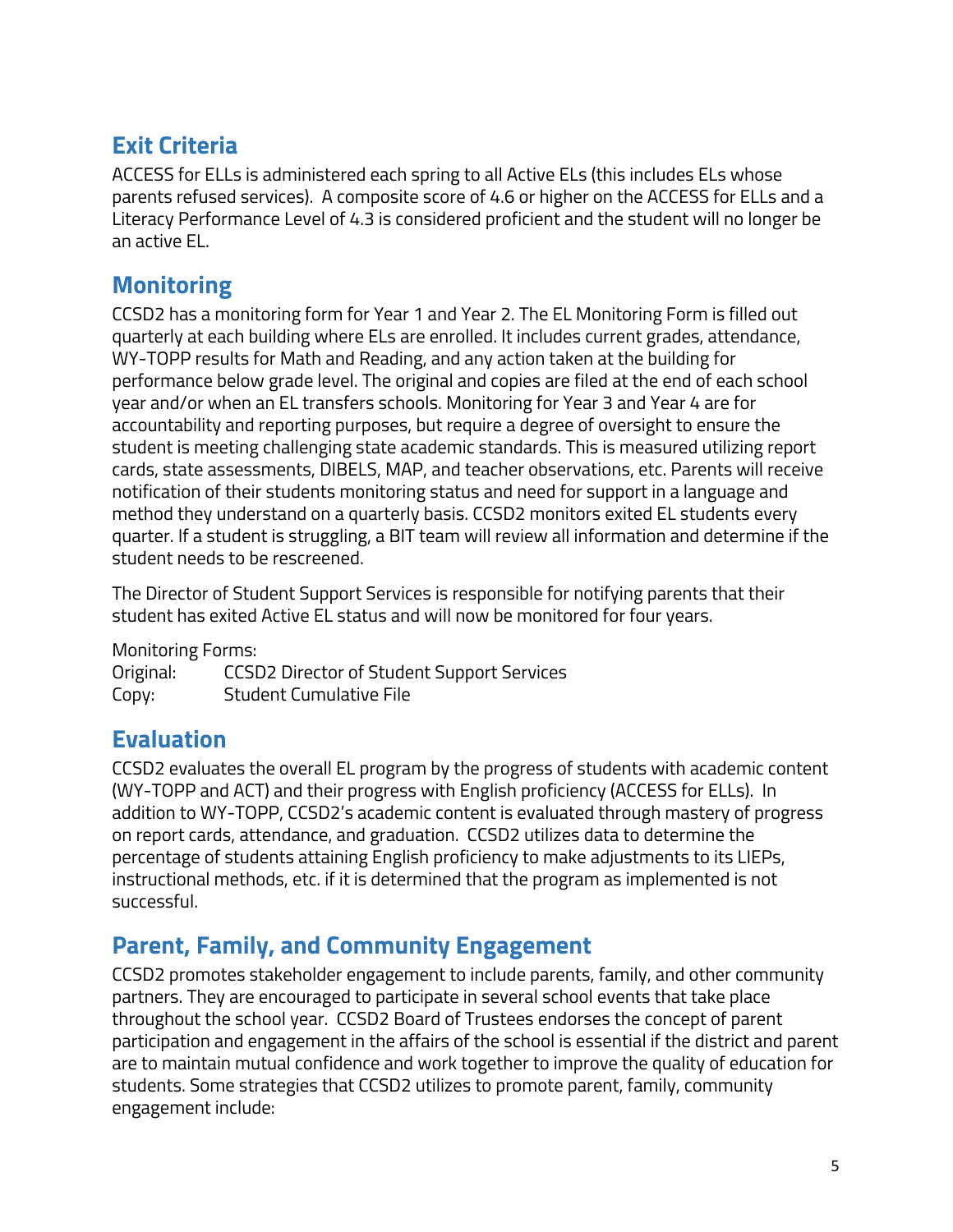# <span id="page-5-0"></span>**Exit Criteria**

ACCESS for ELLs is administered each spring to all Active ELs (this includes ELs whose parents refused services). A composite score of 4.6 or higher on the ACCESS for ELLs and a Literacy Performance Level of 4.3 is considered proficient and the student will no longer be an active EL.

# <span id="page-5-1"></span>**Monitoring**

CCSD2 has a monitoring form for Year 1 and Year 2. The EL Monitoring Form is filled out quarterly at each building where ELs are enrolled. It includes current grades, attendance, WY-TOPP results for Math and Reading, and any action taken at the building for performance below grade level. The original and copies are filed at the end of each school year and/or when an EL transfers schools. Monitoring for Year 3 and Year 4 are for accountability and reporting purposes, but require a degree of oversight to ensure the student is meeting challenging state academic standards. This is measured utilizing report cards, state assessments, DIBELS, MAP, and teacher observations, etc. Parents will receive notification of their students monitoring status and need for support in a language and method they understand on a quarterly basis. CCSD2 monitors exited EL students every quarter. If a student is struggling, a BIT team will review all information and determine if the student needs to be rescreened.

The Director of Student Support Services is responsible for notifying parents that their student has exited Active EL status and will now be monitored for four years.

Monitoring Forms:

Original: CCSD2 Director of Student Support Services Copy: Student Cumulative File

### <span id="page-5-2"></span>**Evaluation**

CCSD2 evaluates the overall EL program by the progress of students with academic content (WY-TOPP and ACT) and their progress with English proficiency (ACCESS for ELLs). In addition to WY-TOPP, CCSD2's academic content is evaluated through mastery of progress on report cards, attendance, and graduation. CCSD2 utilizes data to determine the percentage of students attaining English proficiency to make adjustments to its LIEPs, instructional methods, etc. if it is determined that the program as implemented is not successful.

### <span id="page-5-3"></span>**Parent, Family, and Community Engagement**

CCSD2 promotes stakeholder engagement to include parents, family, and other community partners. They are encouraged to participate in several school events that take place throughout the school year. CCSD2 Board of Trustees endorses the concept of parent participation and engagement in the affairs of the school is essential if the district and parent are to maintain mutual confidence and work together to improve the quality of education for students. Some strategies that CCSD2 utilizes to promote parent, family, community engagement include: